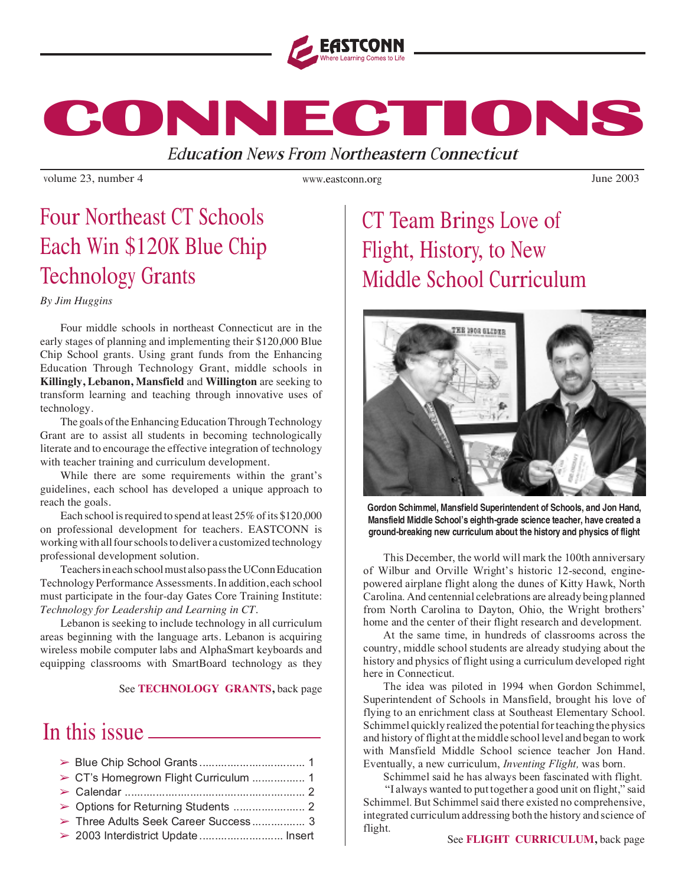

**CONNECTIONS CONNECTIONS CONNECTIONS**

Educatio<sup>n</sup> New<sup>s</sup> Fro<sup>m</sup> Northeastern Connecticut

volume 23, number 4 Vulue 2003

www.eastconn.org

## Four Northeast CT Schools Each Win \$120K Blue Chip Technology Grants

*By Jim Huggins*

Four middle schools in northeast Connecticut are in the early stages of planning and implementing their \$120,000 Blue Chip School grants. Using grant funds from the Enhancing Education Through Technology Grant, middle schools in **Killingly, Lebanon, Mansfield** and **Willington** are seeking to transform learning and teaching through innovative uses of technology.

The goals of the Enhancing Education Through Technology Grant are to assist all students in becoming technologically literate and to encourage the effective integration of technology with teacher training and curriculum development.

While there are some requirements within the grant's guidelines, each school has developed a unique approach to reach the goals.

Each school is required to spend at least 25% of its \$120,000 on professional development for teachers. EASTCONN is working with all four schools to deliver a customized technology professional development solution.

Teachers in each school must also pass the UConn Education Technology Performance Assessments. In addition, each school must participate in the four-day Gates Core Training Institute: *Technology for Leadership and Learning in CT.*

Lebanon is seeking to include technology in all curriculum areas beginning with the language arts. Lebanon is acquiring wireless mobile computer labs and AlphaSmart keyboards and equipping classrooms with SmartBoard technology as they

See **TECHNOLOGY GRANTS,** back page

## In this issue

| > Three Adults Seek Career Success 3 |  |
|--------------------------------------|--|
| > 2003 Interdistrict Update  Insert  |  |

## CT Team Brings Love of Flight, History, to New Middle School Curriculum



**Gordon Schimmel, Mansfield Superintendent of Schools, and Jon Hand, Mansfield Middle School's eighth-grade science teacher, have created a ground-breaking new curriculum about the history and physics of flight**

This December, the world will mark the 100th anniversary of Wilbur and Orville Wright's historic 12-second, enginepowered airplane flight along the dunes of Kitty Hawk, North Carolina. And centennial celebrations are already being planned from North Carolina to Dayton, Ohio, the Wright brothers' home and the center of their flight research and development.

At the same time, in hundreds of classrooms across the country, middle school students are already studying about the history and physics of flight using a curriculum developed right here in Connecticut.

The idea was piloted in 1994 when Gordon Schimmel, Superintendent of Schools in Mansfield, brought his love of flying to an enrichment class at Southeast Elementary School. Schimmel quickly realized the potential for teaching the physics and history of flight at the middle school level and began to work with Mansfield Middle School science teacher Jon Hand. Eventually, a new curriculum, Inventing Flight, was born.

Schimmel said he has always been fascinated with flight.

"I always wanted to put together a good unit on flight," said Schimmel. But Schimmel said there existed no comprehensive, integrated curriculum addressing both the history and science of flight.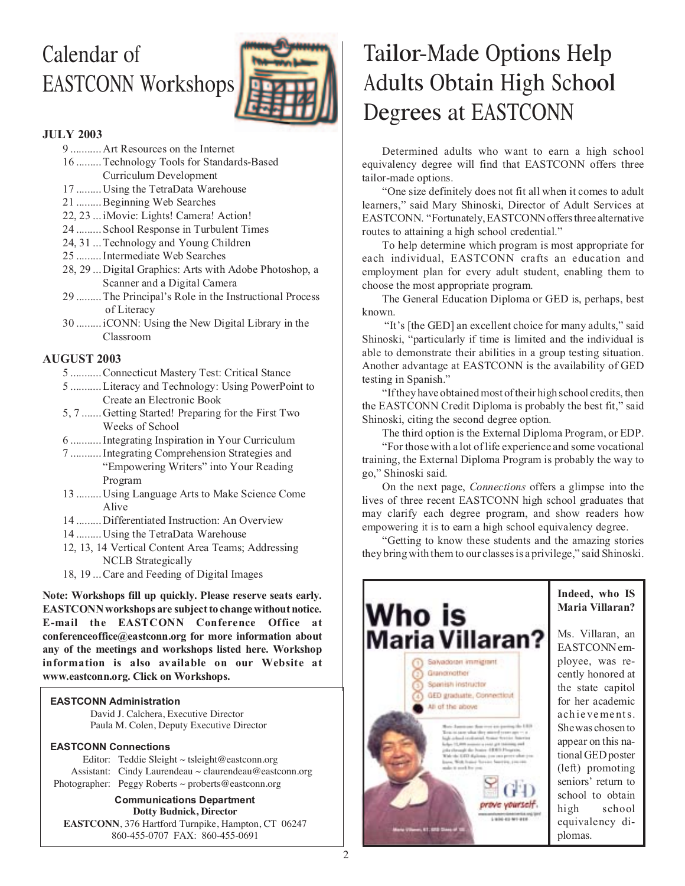# Calendar of EASTCONN Workshops



#### JULY 2003

9 ........... Art Resources on the Internet

- 16 ......... Technology Tools for Standards-Based Curriculum Development
- 17 ......... Using the TetraData Warehouse
- 21 ......... Beginning Web Searches
- 22, 23 ... iMovie: Lights! Camera! Action!
- 24 ......... School Response in Turbulent Times
- 24, 31 ... Technology and Young Children
- 25 ......... Intermediate Web Searches
- 28, 29 ... Digital Graphics: Arts with Adobe Photoshop, a Scanner and a Digital Camera
- 29 ......... The Principal's Role in the Instructional Process of Literacy
- 30 ......... iCONN: Using the New Digital Library in the Classroom

#### AUGUST 2003

- 5 ........... Connecticut Mastery Test: Critical Stance
- 5 ........... Literacy and Technology: Using PowerPoint to Create an Electronic Book
- 5, 7 ....... Getting Started! Preparing for the First Two Weeks of School
- 6 ........... Integrating Inspiration in Your Curriculum
- 7 ........... Integrating Comprehension Strategies and "Empowering Writers" into Your Reading Program
- 13 ......... Using Language Arts to Make Science Come Alive
- 14 ......... Differentiated Instruction: An Overview
- 14 ......... Using the TetraData Warehouse
- 12, 13, 14 Vertical Content Area Teams; Addressing NCLB Strategically
- 18, 19 ... Care and Feeding of Digital Images

Note: Workshops fill up quickly. Please reserve seats early. EASTCONN workshops are subject to change without notice. E-mail the EASTCONN Conference Office at conferenceoffice@eastconn.org for more information about any of the meetings and workshops listed here. Workshop information is also available on our Website at www.eastconn.org. Click on Workshops.

#### **EASTCONN Administration**

David J. Calchera, Executive Director Paula M. Colen, Deputy Executive Director

#### **EASTCONN Connections**

Editor: Teddie Sleight  $\sim$  tsleight@eastconn.org Assistant: Cindy Laurendeau ~ claurendeau@eastconn.org Photographer: Peggy Roberts ~ proberts@eastconn.org

**Communications Department Dotty Budnick, Director EASTCONN**, 376 Hartford Turnpike, Hampton, CT 06247 860-455-0707 FAX: 860-455-0691

## Tailor-Made Options Help Adults Obtain High School Degrees at EASTCONN

Determined adults who want to earn a high school equivalency degree will find that EASTCONN offers three tailor-made options.

"One size definitely does not fit all when it comes to adult learners," said Mary Shinoski, Director of Adult Services at EASTCONN. "Fortunately, EASTCONN offers three alternative routes to attaining a high school credential."

To help determine which program is most appropriate for each individual, EASTCONN crafts an education and employment plan for every adult student, enabling them to choose the most appropriate program.

The General Education Diploma or GED is, perhaps, best known.

"It's [the GED] an excellent choice for many adults," said Shinoski, "particularly if time is limited and the individual is able to demonstrate their abilities in a group testing situation. Another advantage at EASTCONN is the availability of GED testing in Spanish."

"If they have obtained most of their high school credits, then the EASTCONN Credit Diploma is probably the best fit," said Shinoski, citing the second degree option.

The third option is the External Diploma Program, or EDP.

"For those with a lot of life experience and some vocational training, the External Diploma Program is probably the way to go," Shinoski said.

On the next page, Connections offers a glimpse into the lives of three recent EASTCONN high school graduates that may clarify each degree program, and show readers how empowering it is to earn a high school equivalency degree.

"Getting to know these students and the amazing stories they bring with them to our classes is a privilege," said Shinoski.

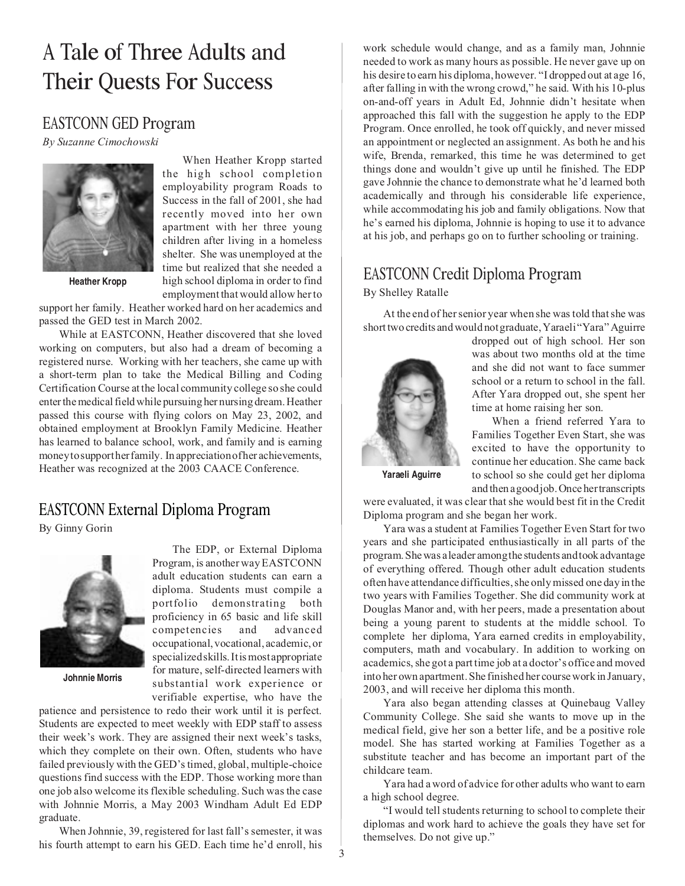## <sup>A</sup> Tale of Three Adults and Their Quests For Success

### EASTCONN GED Program

By Suzanne Cimochowski



When Heather Kropp started the high school completion employability program Roads to Success in the fall of 2001, she had recently moved into her own apartment with her three young children after living in a homeless shelter. She was unemployed at the time but realized that she needed a high school diploma in order to find employment that would allow her to

support her family. Heather worked hard on her academics and passed the GED test in March 2002.

While at EASTCONN, Heather discovered that she loved working on computers, but also had a dream of becoming a registered nurse. Working with her teachers, she came up with a short-term plan to take the Medical Billing and Coding Certification Course at the local community college so she could enter the medical field while pursuing her nursing dream. Heather passed this course with flying colors on May 23, 2002, and obtained employment at Brooklyn Family Medicine. Heather has learned to balance school, work, and family and is earning money to support her family. In appreciation of her achievements, Heather was recognized at the 2003 CAACE Conference.

### EASTCONN External Diploma Program

By Ginny Gorin



**Johnnie Morris**

The EDP, or External Diploma Program, is another way EASTCONN adult education students can earn a diploma. Students must compile a portfolio demonstrating both proficiency in 65 basic and life skill competencies and advanced occupational, vocational, academic, or specialized skills. It is most appropriate for mature, self-directed learners with substantial work experience or verifiable expertise, who have the

patience and persistence to redo their work until it is perfect. Students are expected to meet weekly with EDP staff to assess their week's work. They are assigned their next week's tasks, which they complete on their own. Often, students who have failed previously with the GED's timed, global, multiple-choice questions find success with the EDP. Those working more than one job also welcome its flexible scheduling. Such was the case with Johnnie Morris, a May 2003 Windham Adult Ed EDP graduate.

When Johnnie, 39, registered for last fall's semester, it was his fourth attempt to earn his GED. Each time he'd enroll, his work schedule would change, and as a family man, Johnnie needed to work as many hours as possible. He never gave up on his desire to earn his diploma, however. "I dropped out at age 16, after falling in with the wrong crowd," he said. With his 10-plus on-and-off years in Adult Ed, Johnnie didn't hesitate when approached this fall with the suggestion he apply to the EDP Program. Once enrolled, he took off quickly, and never missed an appointment or neglected an assignment. As both he and his wife, Brenda, remarked, this time he was determined to get things done and wouldn't give up until he finished. The EDP gave Johnnie the chance to demonstrate what he'd learned both academically and through his considerable life experience, while accommodating his job and family obligations. Now that he's earned his diploma, Johnnie is hoping to use it to advance at his job, and perhaps go on to further schooling or training.

### EASTCONN Credit Diploma Program By Shelley Ratalle

At the end of her senior year when she was told that she was short two credits and would not graduate, Yaraeli "Yara" Aguirre



dropped out of high school. Her son was about two months old at the time and she did not want to face summer school or a return to school in the fall. After Yara dropped out, she spent her time at home raising her son.

When a friend referred Yara to Families Together Even Start, she was excited to have the opportunity to continue her education. She came back to school so she could get her diploma and then a good job. Once her transcripts

**Yaraeli Aguirre**

were evaluated, it was clear that she would best fit in the Credit Diploma program and she began her work.

Yara was a student at Families Together Even Start for two years and she participated enthusiastically in all parts of the program. She was a leader among the students and took advantage of everything offered. Though other adult education students often have attendance difficulties, she only missed one day in the two years with Families Together. She did community work at Douglas Manor and, with her peers, made a presentation about being a young parent to students at the middle school. To complete her diploma, Yara earned credits in employability, computers, math and vocabulary. In addition to working on academics, she got a part time job at a doctor's office and moved into her own apartment. She finished her course work in January, 2003, and will receive her diploma this month.

Yara also began attending classes at Quinebaug Valley Community College. She said she wants to move up in the medical field, give her son a better life, and be a positive role model. She has started working at Families Together as a substitute teacher and has become an important part of the childcare team.

Yara had a word of advice for other adults who want to earn a high school degree.

"I would tell students returning to school to complete their diplomas and work hard to achieve the goals they have set for themselves. Do not give up."

3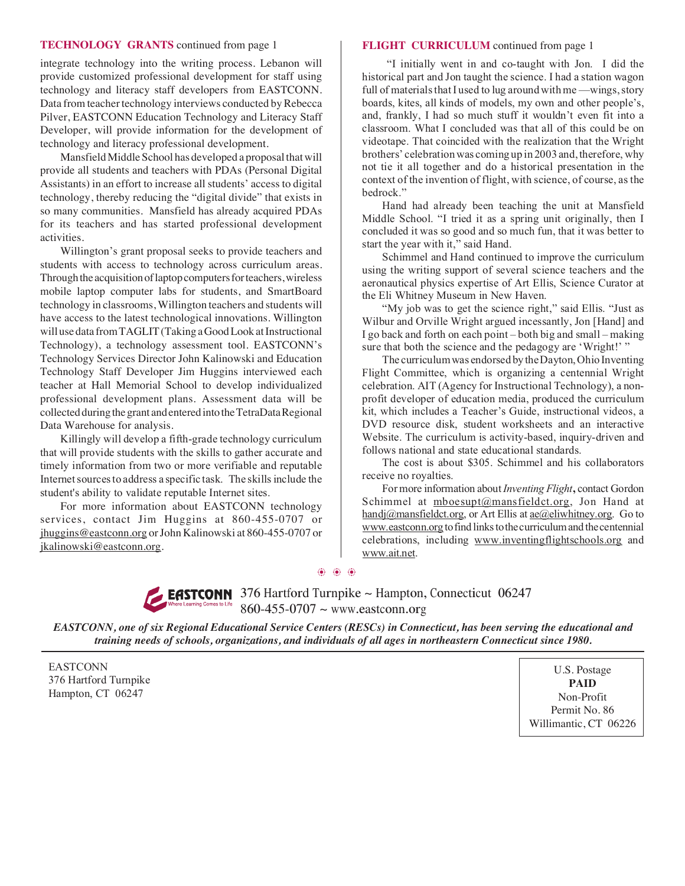#### **TECHNOLOGY GRANTS** continued from page 1 **FLIGHT CURRICULUM** continued from page 1

integrate technology into the writing process. Lebanon will provide customized professional development for staff using technology and literacy staff developers from EASTCONN. Data from teacher technology interviews conducted by Rebecca Pilver, EASTCONN Education Technology and Literacy Staff Developer, will provide information for the development of technology and literacy professional development.

Mansfield Middle School has developed a proposal that will provide all students and teachers with PDAs (Personal Digital Assistants) in an effort to increase all students' access to digital technology, thereby reducing the "digital divide" that exists in so many communities. Mansfield has already acquired PDAs for its teachers and has started professional development activities.

Willington's grant proposal seeks to provide teachers and students with access to technology across curriculum areas. Through the acquisition of laptop computers for teachers, wireless mobile laptop computer labs for students, and SmartBoard technology in classrooms, Willington teachers and students will have access to the latest technological innovations*.* Willington will use data from TAGLIT (Taking a Good Look at Instructional Technology), a technology assessment tool. EASTCONN's Technology Services Director John Kalinowski and Education Technology Staff Developer Jim Huggins interviewed each teacher at Hall Memorial School to develop individualized professional development plans. Assessment data will be collected during the grant and entered into the TetraData Regional Data Warehouse for analysis.

Killingly will develop a fifth-grade technology curriculum that will provide students with the skills to gather accurate and timely information from two or more verifiable and reputable Internet sources to address a specific task. The skills include the student's ability to validate reputable Internet sites.

For more information about EASTCONN technology services, contact Jim Huggins at 860-455-0707 or jhuggins@eastconn.org or John Kalinowski at 860-455-0707 or jkalinowski@eastconn.org.

"I initially went in and co-taught with Jon. I did the historical part and Jon taught the science. I had a station wagon full of materials that I used to lug around with me —wings, story boards, kites, all kinds of models, my own and other people's, and, frankly, I had so much stuff it wouldn't even fit into a classroom. What I concluded was that all of this could be on videotape. That coincided with the realization that the Wright brothers' celebration was coming up in 2003 and, therefore, why not tie it all together and do a historical presentation in the context of the invention of flight, with science, of course, as the bedrock."

Hand had already been teaching the unit at Mansfield Middle School. "I tried it as a spring unit originally, then I concluded it was so good and so much fun, that it was better to start the year with it," said Hand.

Schimmel and Hand continued to improve the curriculum using the writing support of several science teachers and the aeronautical physics expertise of Art Ellis, Science Curator at the Eli Whitney Museum in New Haven.

"My job was to get the science right," said Ellis. "Just as Wilbur and Orville Wright argued incessantly, Jon [Hand] and I go back and forth on each point – both big and small – making sure that both the science and the pedagogy are 'Wright!' "

The curriculum was endorsed by the Dayton, Ohio Inventing Flight Committee, which is organizing a centennial Wright celebration. AIT (Agency for Instructional Technology), a nonprofit developer of education media, produced the curriculum kit, which includes a Teacher's Guide, instructional videos, a DVD resource disk, student worksheets and an interactive Website. The curriculum is activity-based, inquiry-driven and follows national and state educational standards.

The cost is about \$305. Schimmel and his collaborators receive no royalties.

For more information about Inventing Flight, contact Gordon Schimmel at mboesupt@mansfieldct.org, Jon Hand at handj@mansfieldct.org, or Art Ellis at ae@eliwhitney.org. Go to www.eastconn.org to find links to the curriculum and the centennial celebrations, including www.inventingflightschools.org and www.ait.net.

**EASTCONN** 376 Hartford Turnpike ~ Hampton, Connecticut 06247  $860 - 455 - 0707 \sim$  www.eastconn.org

*EASTCONN, one of six Regional Educational Service Centers (RESCs) in Connecticut, has been serving the educational and training needs of schools, organizations, and individuals of all ages in northeastern Connecticut since 1980.*

❂ ❂ ❂

EASTCONN 376 Hartford Turnpike Hampton, CT 06247

U.S. Postage **PAID** Non-Profit Permit No. 86 Willimantic, CT 06226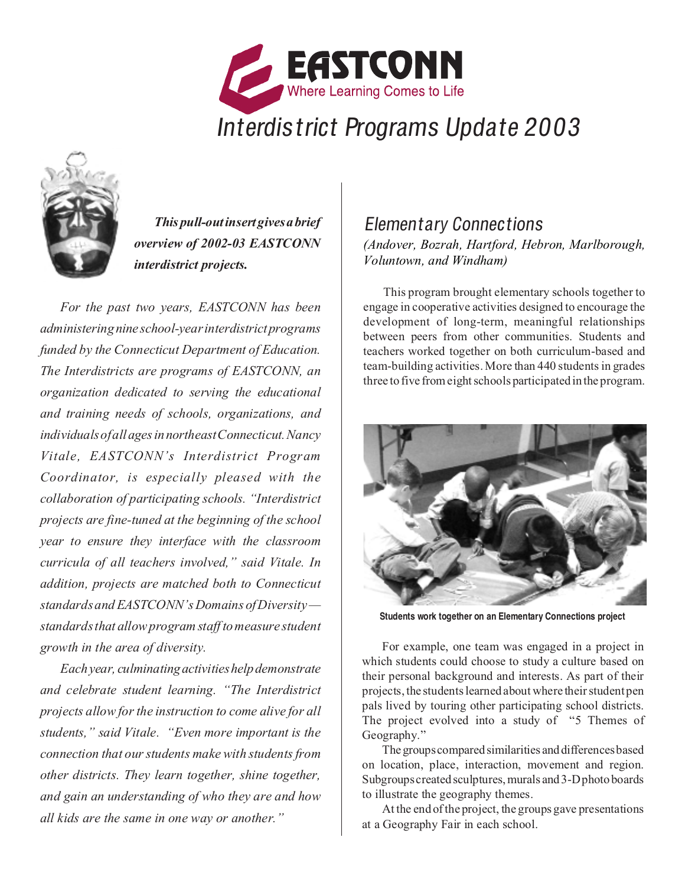



This pull-out insert gives a brief overview of 2002-03 EASTCONN interdistrict projects.

For the past two years, EASTCONN has been administering nine school-year interdistrict programs funded by the Connecticut Department of Education. The Interdistricts are programs of EASTCONN, an organization dedicated to serving the educational and training needs of schools, organizations, and individuals of all ages in northeast Connecticut. Nancy Vitale, EASTCONN's Interdistrict Program Coordinator, is especially pleased with the collaboration of participating schools. "Interdistrict projects are fine-tuned at the beginning of the school year to ensure they interface with the classroom curricula of all teachers involved," said Vitale. In addition, projects are matched both to Connecticut standards and EASTCONN's Domains of Diversity standards that allow program staff to measure student growth in the area of diversity.

Each year, culminating activities help demonstrate and celebrate student learning. "The Interdistrict projects allow for the instruction to come alive for all students," said Vitale. "Even more important is the connection that our students make with students from other districts. They learn together, shine together, and gain an understanding of who they are and how all kids are the same in one way or another."

### Elementary Connections (Andover, Bozrah, Hartford, Hebron, Marlborough, Voluntown, and Windham)

This program brought elementary schools together to engage in cooperative activities designed to encourage the development of long-term, meaningful relationships between peers from other communities. Students and teachers worked together on both curriculum-based and team-building activities. More than 440 students in grades three to five from eight schools participated in the program.



**Students work together on an Elementary Connections project**

For example, one team was engaged in a project in which students could choose to study a culture based on their personal background and interests. As part of their projects, the students learned about where their student pen pals lived by touring other participating school districts. The project evolved into a study of "5 Themes of Geography."

The groups compared similarities and differences based on location, place, interaction, movement and region. Subgroups created sculptures, murals and 3-D photo boards to illustrate the geography themes.

At the end of the project, the groups gave presentations at a Geography Fair in each school.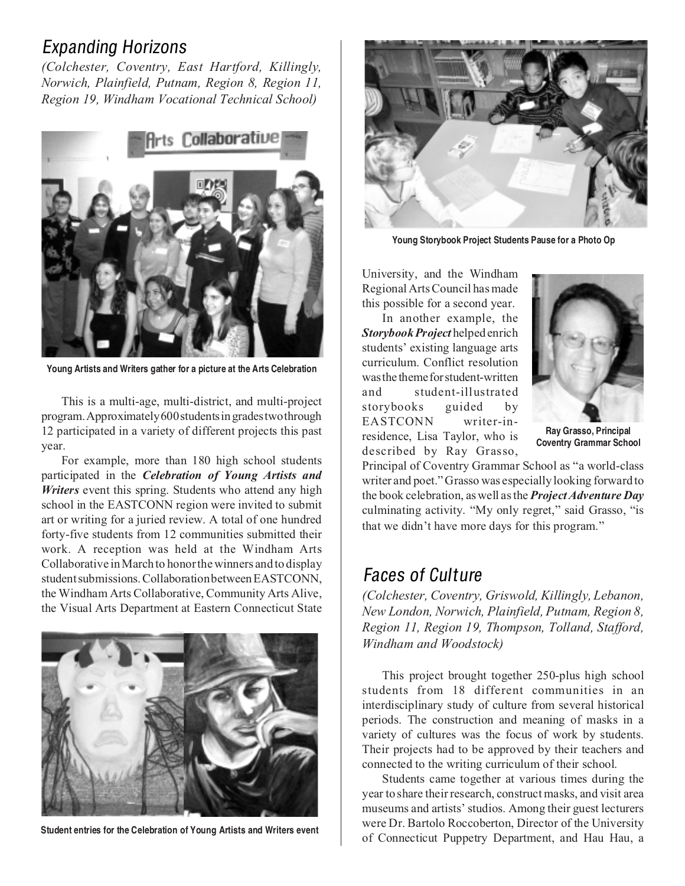## Expanding Horizons

(Colchester, Coventry, East Hartford, Killingly, Norwich, Plainfield, Putnam, Region 8, Region 11, Region 19, Windham Vocational Technical School)



**Young Artists and Writers gather for a picture at the Arts Celebration**

This is a multi-age, multi-district, and multi-project program. Approximately 600 students in grades two through 12 participated in a variety of different projects this past year.

For example, more than 180 high school students participated in the *Celebration of Young Artists and* Writers event this spring. Students who attend any high school in the EASTCONN region were invited to submit art or writing for a juried review. A total of one hundred forty-five students from 12 communities submitted their work. A reception was held at the Windham Arts Collaborative in March to honor the winners and to display student submissions. Collaboration between EASTCONN, the Windham Arts Collaborative, Community Arts Alive, the Visual Arts Department at Eastern Connecticut State



**Student entries for the Celebration of Young Artists and Writers event**



**Young Storybook Project Students Pause for a Photo Op**

University, and the Windham Regional Arts Council has made this possible for a second year.

In another example, the Storybook Project helped enrich students' existing language arts curriculum. Conflict resolution was the theme for student-written and student-illustrated storybooks guided by EASTCONN writer-inresidence, Lisa Taylor, who is described by Ray Grasso,



**Ray Grasso, Principal Coventry Grammar School**

Principal of Coventry Grammar School as "a world-class writer and poet." Grasso was especially looking forward to the book celebration, as well as the **Project Adventure Day** culminating activity. "My only regret," said Grasso, "is that we didn't have more days for this program."

## Faces of Culture

(Colchester, Coventry, Griswold, Killingly, Lebanon, New London, Norwich, Plainfield, Putnam, Region 8, Region 11, Region 19, Thompson, Tolland, Stafford, Windham and Woodstock)

This project brought together 250-plus high school students from 18 different communities in an interdisciplinary study of culture from several historical periods. The construction and meaning of masks in a variety of cultures was the focus of work by students. Their projects had to be approved by their teachers and connected to the writing curriculum of their school.

Students came together at various times during the year to share their research, construct masks, and visit area museums and artists' studios. Among their guest lecturers were Dr. Bartolo Roccoberton, Director of the University of Connecticut Puppetry Department, and Hau Hau, a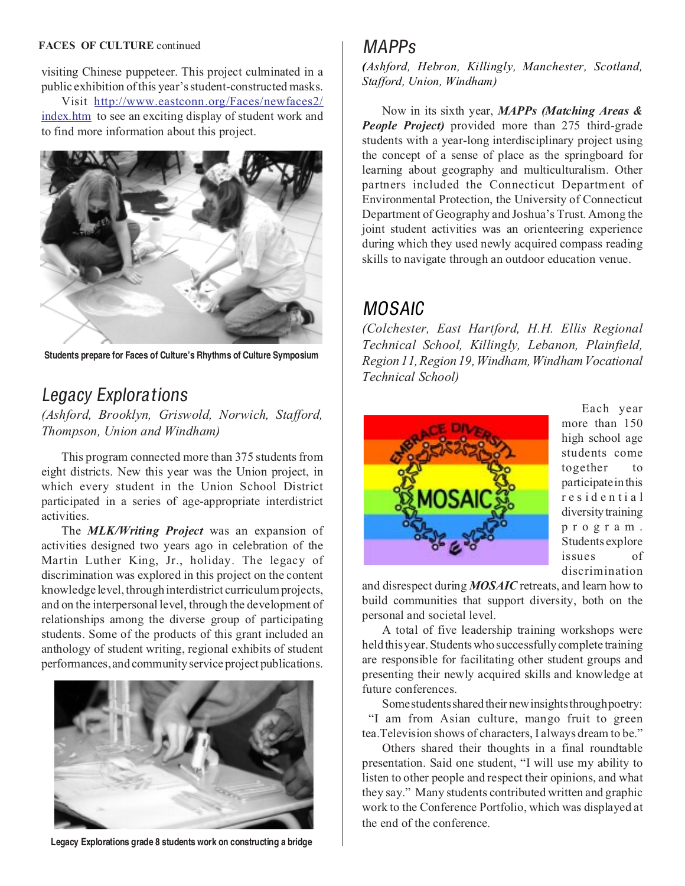#### FACES OF CULTURE continued

visiting Chinese puppeteer. This project culminated in a public exhibition of this year's student-constructed masks.

Visit http://www.eastconn.org/Faces/newfaces2/ index.htm to see an exciting display of student work and to find more information about this project.



**Students prepare for Faces of Culture's Rhythms of Culture Symposium**

## Legacy Explorations

(Ashford, Brooklyn, Griswold, Norwich, Stafford, Thompson, Union and Windham)

This program connected more than 375 students from eight districts. New this year was the Union project, in which every student in the Union School District participated in a series of age-appropriate interdistrict activities.

The **MLK/Writing Project** was an expansion of activities designed two years ago in celebration of the Martin Luther King, Jr., holiday. The legacy of discrimination was explored in this project on the content knowledge level, through interdistrict curriculum projects, and on the interpersonal level, through the development of relationships among the diverse group of participating students. Some of the products of this grant included an anthology of student writing, regional exhibits of student performances, and community service project publications.



**Legacy Explorations grade 8 students work on constructing a bridge**

### MAPPs

(Ashford, Hebron, Killingly, Manchester, Scotland, Stafford, Union, Windham)

Now in its sixth year, MAPPs (Matching Areas & People Project) provided more than 275 third-grade students with a year-long interdisciplinary project using the concept of a sense of place as the springboard for learning about geography and multiculturalism. Other partners included the Connecticut Department of Environmental Protection, the University of Connecticut Department of Geography and Joshua's Trust. Among the joint student activities was an orienteering experience during which they used newly acquired compass reading skills to navigate through an outdoor education venue.

## MOSAIC

(Colchester, East Hartford, H.H. Ellis Regional Technical School, Killingly, Lebanon, Plainfield, Region 11, Region 19, Windham, Windham Vocational Technical School)



Each year more than 150 high school age students come together to participate in this residential diversity training program. Students explore issues of discrimination

and disrespect during MOSAIC retreats, and learn how to build communities that support diversity, both on the personal and societal level.

A total of five leadership training workshops were held this year. Students who successfully complete training are responsible for facilitating other student groups and presenting their newly acquired skills and knowledge at future conferences.

Some students shared their new insights through poetry: "I am from Asian culture, mango fruit to green tea.Television shows of characters, I always dream to be."

Others shared their thoughts in a final roundtable presentation. Said one student, "I will use my ability to listen to other people and respect their opinions, and what they say." Many students contributed written and graphic work to the Conference Portfolio, which was displayed at the end of the conference.